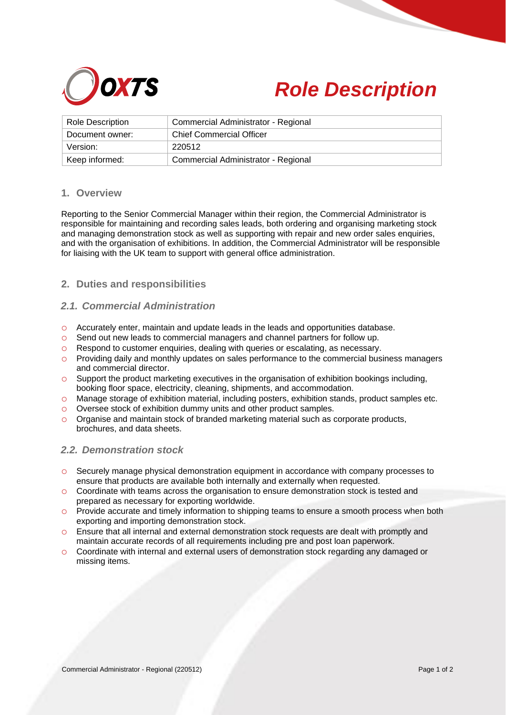



| <b>Role Description</b> | Commercial Administrator - Regional |
|-------------------------|-------------------------------------|
| Document owner:         | <b>Chief Commercial Officer</b>     |
| Version:                | 220512                              |
| Keep informed:          | Commercial Administrator - Regional |

### **1. Overview**

Reporting to the Senior Commercial Manager within their region, the Commercial Administrator is responsible for maintaining and recording sales leads, both ordering and organising marketing stock and managing demonstration stock as well as supporting with repair and new order sales enquiries, and with the organisation of exhibitions. In addition, the Commercial Administrator will be responsible for liaising with the UK team to support with general office administration.

## **2. Duties and responsibilities**

## *2.1. Commercial Administration*

- o Accurately enter, maintain and update leads in the leads and opportunities database.
- o Send out new leads to commercial managers and channel partners for follow up.
- o Respond to customer enquiries, dealing with queries or escalating, as necessary.
- $\circ$  Providing daily and monthly updates on sales performance to the commercial business managers and commercial director.
- $\circ$  Support the product marketing executives in the organisation of exhibition bookings including, booking floor space, electricity, cleaning, shipments, and accommodation.
- o Manage storage of exhibition material, including posters, exhibition stands, product samples etc.
- o Oversee stock of exhibition dummy units and other product samples.
- $\circ$  Organise and maintain stock of branded marketing material such as corporate products, brochures, and data sheets.

#### *2.2. Demonstration stock*

- o Securely manage physical demonstration equipment in accordance with company processes to ensure that products are available both internally and externally when requested.
- o Coordinate with teams across the organisation to ensure demonstration stock is tested and prepared as necessary for exporting worldwide.
- o Provide accurate and timely information to shipping teams to ensure a smooth process when both exporting and importing demonstration stock.
- o Ensure that all internal and external demonstration stock requests are dealt with promptly and maintain accurate records of all requirements including pre and post loan paperwork.
- o Coordinate with internal and external users of demonstration stock regarding any damaged or missing items.